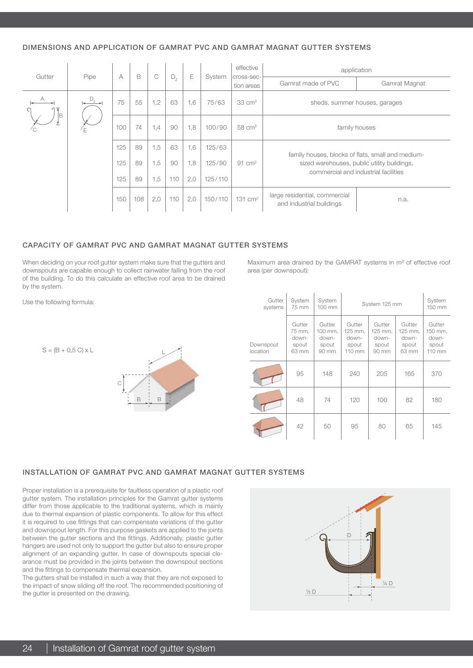# DIMENSIONS AND APPLICATION OF GAMRAT PVC AND GAMRAT MAGNAT GUTTER SYSTEMS

| Gutter | Pipe    | A   | B   | C   | $D_{7}$ | Ε   | System  | effective                | application                                               |                                                   |  |
|--------|---------|-----|-----|-----|---------|-----|---------|--------------------------|-----------------------------------------------------------|---------------------------------------------------|--|
|        |         |     |     |     |         |     |         | cross-sec-<br>tion areas | Gamrat made of PVC                                        | Gamrat Magnat                                     |  |
| А      | $D_{Z}$ | 75  | 55  | 1,2 | 63      | 1,6 | 75/63   | $33 \text{ cm}^2$        | sheds, summer houses, garages                             |                                                   |  |
| ΙB     |         | 100 | 74  | 1,4 | 90      | 1,8 | 100/90  | $58 \text{ cm}^2$        | family houses                                             |                                                   |  |
|        |         | 125 | 89  | 1,5 | 63      | 1,6 | 125/63  |                          |                                                           | family houses, blocks of flats, small and medium- |  |
|        |         | 125 | 89  | 1,5 | 90      | 1,8 | 125/90  | 91 $cm2$                 | sized warehouses, public utility buildings,               |                                                   |  |
|        |         | 125 | 89  | 1,5 | 110     | 2,0 | 125/110 |                          |                                                           | commercial and industrial facilities              |  |
|        |         | 150 | 108 | 2,0 | 110     | 2,0 | 150/110 | $131$ cm <sup>2</sup>    | large residential, commercial<br>and industrial buildings | n.a.                                              |  |

#### CAPACITY OF GAMRAT PVC AND GAMRAT MAGNAT GUTTER SYSTEMS

When deciding on your roof gutter system make sure that the gutters and downspouts are capable enough to collect rainwater falling from the roof of the building. To do this calculate an effective roof area to be drained by the system.

Use the following formula:

 $S = (B + 0.5 C) \times L$ 



| Maximum area drained by the GAMRAT systems in m <sup>2</sup> of effective roof |  |  |  |  |  |  |
|--------------------------------------------------------------------------------|--|--|--|--|--|--|
| area (per downspout):                                                          |  |  |  |  |  |  |

| Gutter<br>systems     | System<br>75 mm                             | System<br>$100 \text{ mm}$                   | System 125 mm                                           | System<br>150 mm                             |                                              |                                                         |
|-----------------------|---------------------------------------------|----------------------------------------------|---------------------------------------------------------|----------------------------------------------|----------------------------------------------|---------------------------------------------------------|
| Downspout<br>location | Gutter<br>75 mm,<br>down-<br>spout<br>63 mm | Gutter<br>100 mm,<br>down-<br>spout<br>90 mm | Gutter<br>125 mm.<br>down-<br>spout<br>$110 \text{ mm}$ | Gutter<br>125 mm.<br>down-<br>spout<br>90 mm | Gutter<br>125 mm.<br>down-<br>spout<br>63 mm | Gutter<br>150 mm,<br>down-<br>spout<br>$110 \text{ mm}$ |
|                       | 95                                          | 148                                          | 240                                                     | 205                                          | 165                                          | 370                                                     |
|                       | 48                                          | 74                                           | 120                                                     | 100                                          | 82                                           | 180                                                     |
|                       | 42                                          | 50                                           | 95                                                      | 80                                           | 65                                           | 145                                                     |

## INSTALLATION OF GAMRAT PVC AND GAMRAT MAGNAT GUTTER SYSTEMS

Proper installation is a prerequisite for faultless operation of a plastic roof gutter system. The installation principles for the Gamrat gutter systems differ from those applicable to the traditional systems, which is mainly due to thermal expansion of plastic components. To allow for this effect it is required to use fittings that can compensate variations of the gutter and downspout length. For this purpose gaskets are applied to the joints between the gutter sections and the fittings. Additionally, plastic gutter hangers are used not only to support the gutter but also to ensure proper alignment of an expanding gutter. In case of downspouts special clearance must be provided in the joints between the downspout sections and the fittings to compensate thermal expansion.

The gutters shall be installed in such a way that they are not exposed to the impact of snow sliding off the roof. The recommended positioning of the gutter is presented on the drawing.

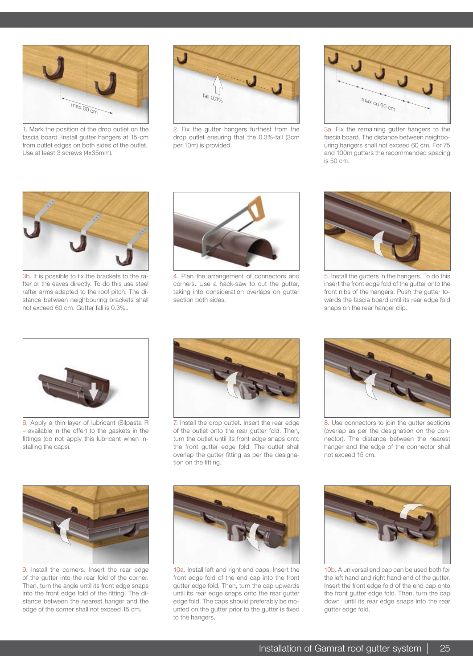

1. Mark the position of the drop outlet on the fascia board. Install gutter hangers at 15-cm from outlet edges on both sides of the outlet. Use at least 3 screws (4x35mm).



2. Fix the gutter hangers furthest from the drop outlet ensuring that the 0.3%-fall (3cm per 10m) is provided.



3a. Fix the remaining gutter hangers to the fascia board. The distance between neighbouring hangers shall not exceed 60 cm. For 75 and 100m gutters the recommended spacing is 50 cm.



3b. It is possible to fix the brackets to the rafter or the eaves directly. To do this use steel rafter arms adapted to the roof pitch. The distance between neighbouring brackets shall not exceed 60 cm. Gutter fall is 0.3%..



4. Plan the arrangement of connectors and corners. Use a hack-saw to cut the gutter, taking into consideration overlaps on gutter section both sides.



5. Install the gutters in the hangers. To do this insert the front edge fold of the gutter onto the front nibs of the hangers. Push the gutter towards the fascia board until its rear edge fold snaps on the rear hanger clip.



6. Apply a thin layer of lubricant (Silpasta R – available in the offer) to the gaskets in the fittings (do not apply this lubricant when installing the caps).



7. Install the drop outlet. Insert the rear edge of the outlet onto the rear gutter fold. Then, turn the outlet until its front edge snaps onto the front gutter edge fold. The outlet shall overlap the gutter fitting as per the designation on the fitting.



8. Use connectors to join the gutter sections (overlap as per the designation on the connector). The distance between the nearest hanger and the edge of the connector shall not exceed 15 cm.



9. Install the corners. Insert the rear edge of the gutter into the rear fold of the corner. Then, turn the angle until its front edge snaps into the front edge fold of the fitting. The distance between the nearest hanger and the edge of the corner shall not exceed 15 cm.



10a. Install left and right end caps. Insert the front edge fold of the end cap into the front gutter edge fold. Then, turn the cap upwards until its rear edge snaps onto the rear gutter edge fold. The caps should preferably be mounted on the gutter prior to the gutter is fixed to the hangers.



10b. A universal end cap can be used both for the left hand and right hand end of the gutter. Insert the front edge fold of the end cap onto the front gutter edge fold. Then, turn the cap down until its rear edge snaps into the rear gutter edge fold.